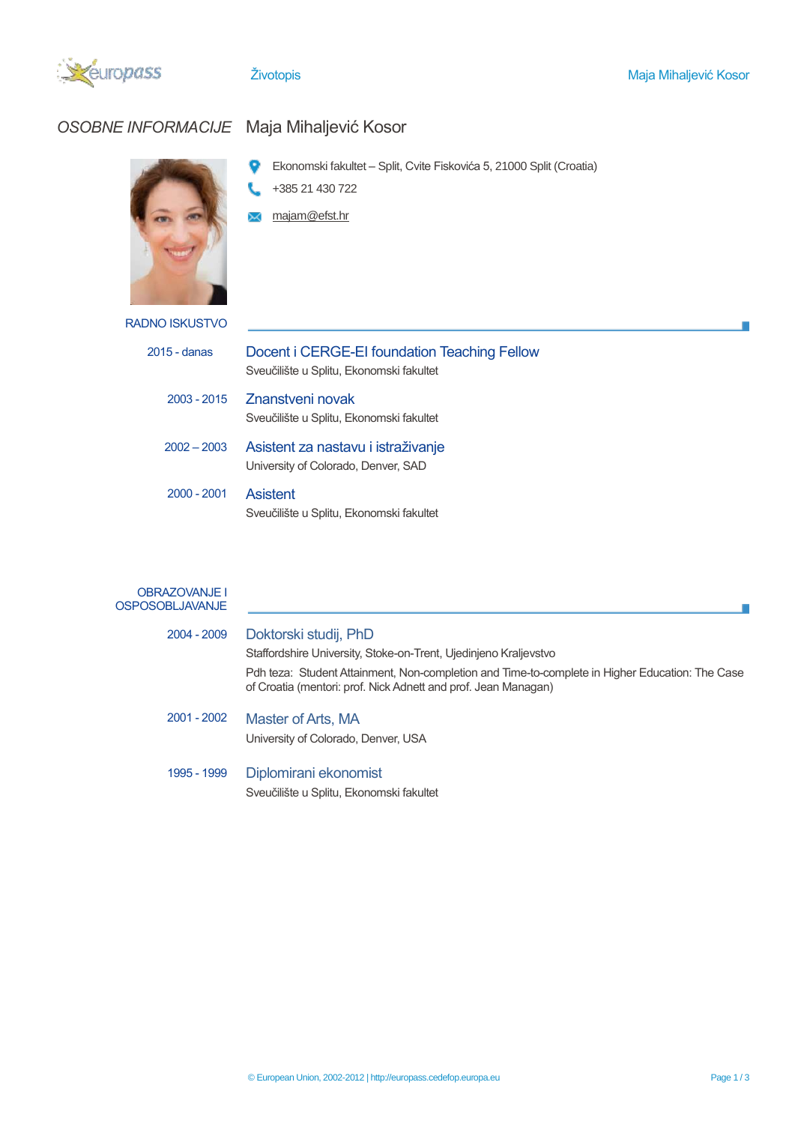

# *OSOBNE INFORMACIJE* Maja Mihaljević Kosor

- 9 Ekonomski fakultet – Split, Cvite Fiskovića 5, 21000 Split (Croatia)
- +385 21 430 722
- **M** majam@efst.hr

| RADNO ISKUSTVO |  |
|----------------|--|
|                |  |

| $2015 -$ danas | Docent i CERGE-EI foundation Teaching Fellow<br>Sveučilište u Splitu, Ekonomski fakultet |
|----------------|------------------------------------------------------------------------------------------|
| 2003 - 2015    | Znanstveni novak<br>Sveučilište u Splitu, Ekonomski fakultet                             |
| $2002 - 2003$  | Asistent za nastavu i istraživanje<br>University of Colorado, Denver, SAD                |
| $2000 - 2001$  | <b>Asistent</b><br>Sveučilište u Splitu, Ekonomski fakultet                              |
|                |                                                                                          |

## OBRAZOVANJE I **OSPOSOBLJAVANJE**

| 2004 - 2009 | Doktorski studij, PhD                                                                                                                                             |
|-------------|-------------------------------------------------------------------------------------------------------------------------------------------------------------------|
|             | Staffordshire University, Stoke-on-Trent, Ujedinjeno Kraljevstvo                                                                                                  |
|             | Pdh teza: Student Attainment, Non-completion and Time-to-complete in Higher Education: The Case<br>of Croatia (mentori: prof. Nick Adnett and prof. Jean Managan) |
| 2001 - 2002 | Master of Arts, MA<br>University of Colorado, Denver, USA                                                                                                         |
| 1995 - 1999 | Diplomirani ekonomist                                                                                                                                             |

Sveučilište u Splitu, Ekonomski fakultet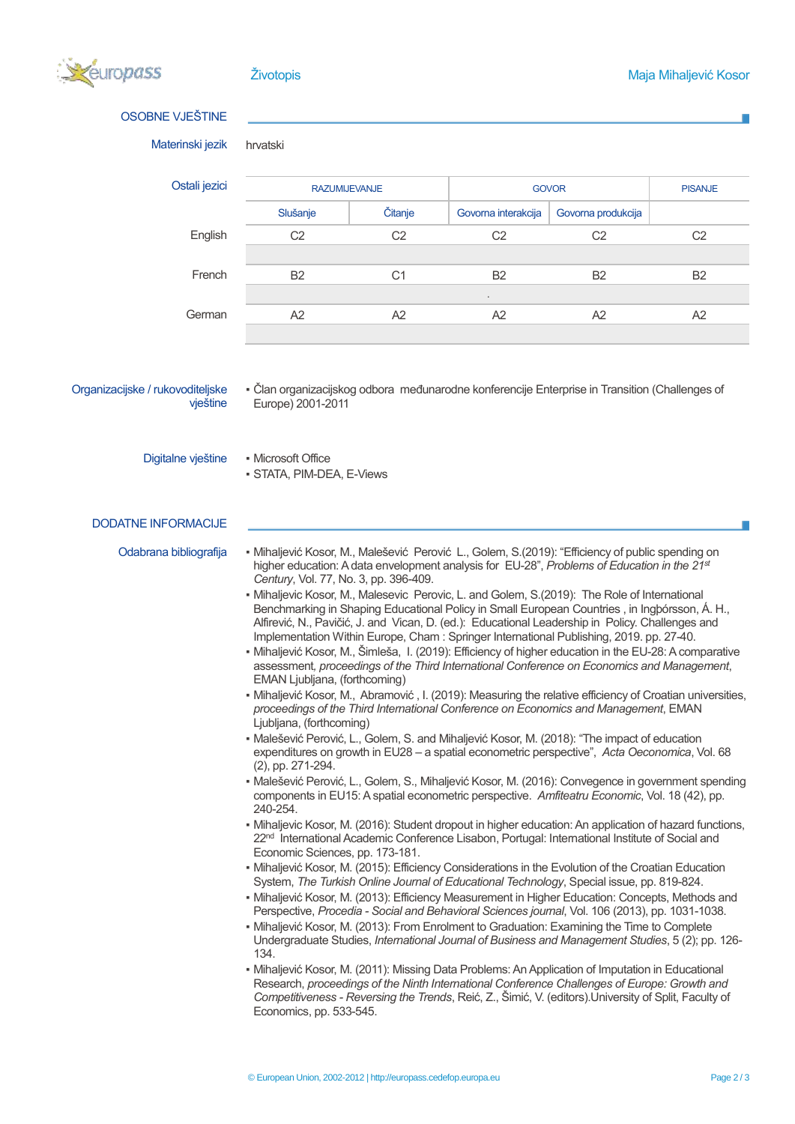

| <b>OSOBNE VJEŠTINE</b>                       |                                                                                                                                                                                                           |                |                                                                                                                                                                                                                                                                                                                                                                                                                                                                                                                                                                                                                                                                                                                                                                                                                                                                                                                                                                                                                                                                                                                                                                                                                                                                                                                                                                                                                                                                                                                                                                                                                                                                                                                                                                                                                                                                                                                                                                                                                                                                                                                                                                                                                                                                                                                                                                                                                                                                                                                                                                            |                    |                |  |  |
|----------------------------------------------|-----------------------------------------------------------------------------------------------------------------------------------------------------------------------------------------------------------|----------------|----------------------------------------------------------------------------------------------------------------------------------------------------------------------------------------------------------------------------------------------------------------------------------------------------------------------------------------------------------------------------------------------------------------------------------------------------------------------------------------------------------------------------------------------------------------------------------------------------------------------------------------------------------------------------------------------------------------------------------------------------------------------------------------------------------------------------------------------------------------------------------------------------------------------------------------------------------------------------------------------------------------------------------------------------------------------------------------------------------------------------------------------------------------------------------------------------------------------------------------------------------------------------------------------------------------------------------------------------------------------------------------------------------------------------------------------------------------------------------------------------------------------------------------------------------------------------------------------------------------------------------------------------------------------------------------------------------------------------------------------------------------------------------------------------------------------------------------------------------------------------------------------------------------------------------------------------------------------------------------------------------------------------------------------------------------------------------------------------------------------------------------------------------------------------------------------------------------------------------------------------------------------------------------------------------------------------------------------------------------------------------------------------------------------------------------------------------------------------------------------------------------------------------------------------------------------------|--------------------|----------------|--|--|
| Materinski jezik                             | hrvatski                                                                                                                                                                                                  |                |                                                                                                                                                                                                                                                                                                                                                                                                                                                                                                                                                                                                                                                                                                                                                                                                                                                                                                                                                                                                                                                                                                                                                                                                                                                                                                                                                                                                                                                                                                                                                                                                                                                                                                                                                                                                                                                                                                                                                                                                                                                                                                                                                                                                                                                                                                                                                                                                                                                                                                                                                                            |                    |                |  |  |
| Ostali jezici                                | <b>RAZUMIJEVANJE</b>                                                                                                                                                                                      |                |                                                                                                                                                                                                                                                                                                                                                                                                                                                                                                                                                                                                                                                                                                                                                                                                                                                                                                                                                                                                                                                                                                                                                                                                                                                                                                                                                                                                                                                                                                                                                                                                                                                                                                                                                                                                                                                                                                                                                                                                                                                                                                                                                                                                                                                                                                                                                                                                                                                                                                                                                                            | <b>GOVOR</b>       | <b>PISANJE</b> |  |  |
|                                              | Slušanje                                                                                                                                                                                                  | <b>Citanje</b> | Govorna interakcija                                                                                                                                                                                                                                                                                                                                                                                                                                                                                                                                                                                                                                                                                                                                                                                                                                                                                                                                                                                                                                                                                                                                                                                                                                                                                                                                                                                                                                                                                                                                                                                                                                                                                                                                                                                                                                                                                                                                                                                                                                                                                                                                                                                                                                                                                                                                                                                                                                                                                                                                                        | Govorna produkcija |                |  |  |
| English                                      | C <sub>2</sub>                                                                                                                                                                                            | C <sub>2</sub> | C <sub>2</sub>                                                                                                                                                                                                                                                                                                                                                                                                                                                                                                                                                                                                                                                                                                                                                                                                                                                                                                                                                                                                                                                                                                                                                                                                                                                                                                                                                                                                                                                                                                                                                                                                                                                                                                                                                                                                                                                                                                                                                                                                                                                                                                                                                                                                                                                                                                                                                                                                                                                                                                                                                             | C <sub>2</sub>     | C <sub>2</sub> |  |  |
| French                                       | B <sub>2</sub>                                                                                                                                                                                            | C <sub>1</sub> | <b>B2</b>                                                                                                                                                                                                                                                                                                                                                                                                                                                                                                                                                                                                                                                                                                                                                                                                                                                                                                                                                                                                                                                                                                                                                                                                                                                                                                                                                                                                                                                                                                                                                                                                                                                                                                                                                                                                                                                                                                                                                                                                                                                                                                                                                                                                                                                                                                                                                                                                                                                                                                                                                                  | <b>B2</b>          | B2             |  |  |
| German                                       | A2                                                                                                                                                                                                        | A2             | A2                                                                                                                                                                                                                                                                                                                                                                                                                                                                                                                                                                                                                                                                                                                                                                                                                                                                                                                                                                                                                                                                                                                                                                                                                                                                                                                                                                                                                                                                                                                                                                                                                                                                                                                                                                                                                                                                                                                                                                                                                                                                                                                                                                                                                                                                                                                                                                                                                                                                                                                                                                         | A2                 | A2             |  |  |
| Organizacijske / rukovoditeljske<br>vještine | Europe) 2001-2011                                                                                                                                                                                         |                | - Član organizacijskog odbora međunarodne konferencije Enterprise in Transition (Challenges of                                                                                                                                                                                                                                                                                                                                                                                                                                                                                                                                                                                                                                                                                                                                                                                                                                                                                                                                                                                                                                                                                                                                                                                                                                                                                                                                                                                                                                                                                                                                                                                                                                                                                                                                                                                                                                                                                                                                                                                                                                                                                                                                                                                                                                                                                                                                                                                                                                                                             |                    |                |  |  |
| Digitalne vještine                           | • Microsoft Office<br>· STATA, PIM-DEA, E-Views                                                                                                                                                           |                |                                                                                                                                                                                                                                                                                                                                                                                                                                                                                                                                                                                                                                                                                                                                                                                                                                                                                                                                                                                                                                                                                                                                                                                                                                                                                                                                                                                                                                                                                                                                                                                                                                                                                                                                                                                                                                                                                                                                                                                                                                                                                                                                                                                                                                                                                                                                                                                                                                                                                                                                                                            |                    |                |  |  |
| <b>DODATNE INFORMACIJE</b>                   |                                                                                                                                                                                                           |                |                                                                                                                                                                                                                                                                                                                                                                                                                                                                                                                                                                                                                                                                                                                                                                                                                                                                                                                                                                                                                                                                                                                                                                                                                                                                                                                                                                                                                                                                                                                                                                                                                                                                                                                                                                                                                                                                                                                                                                                                                                                                                                                                                                                                                                                                                                                                                                                                                                                                                                                                                                            |                    |                |  |  |
| Odabrana bibliografija                       | Century, Vol. 77, No. 3, pp. 396-409.<br>EMAN Ljubljana, (forthcoming)<br>Ljubljana, (forthcoming)<br>(2), pp. 271-294.<br>240-254.<br>Economic Sciences, pp. 173-181.<br>134.<br>Economics, pp. 533-545. |                | • Mihaljević Kosor, M., Malešević Perović L., Golem, S.(2019): "Efficiency of public spending on<br>higher education: A data envelopment analysis for EU-28", Problems of Education in the 21st<br>• Mihaljevic Kosor, M., Malesevic Perovic, L. and Golem, S.(2019): The Role of International<br>Benchmarking in Shaping Educational Policy in Small European Countries, in Ingbórsson, Á. H.,<br>Alfirević, N., Pavičić, J. and Vican, D. (ed.): Educational Leadership in Policy. Challenges and<br>Implementation Within Europe, Cham: Springer International Publishing, 2019. pp. 27-40.<br>• Mihaljević Kosor, M., Šimleša, I. (2019): Efficiency of higher education in the EU-28: A comparative<br>assessment, proceedings of the Third International Conference on Economics and Management,<br>• Mihaljević Kosor, M., Abramović, I. (2019): Measuring the relative efficiency of Croatian universities,<br>proceedings of the Third International Conference on Economics and Management, EMAN<br>· Malešević Perović, L., Golem, S. and Mihaljević Kosor, M. (2018): "The impact of education<br>expenditures on growth in EU28 - a spatial econometric perspective", Acta Oeconomica, Vol. 68<br>· Malešević Perović, L., Golem, S., Mihaljević Kosor, M. (2016): Convegence in government spending<br>components in EU15: A spatial econometric perspective. Amfiteatru Economic, Vol. 18 (42), pp.<br>- Mihaljevic Kosor, M. (2016): Student dropout in higher education: An application of hazard functions,<br>22 <sup>nd</sup> International Academic Conference Lisabon, Portugal: International Institute of Social and<br>• Mihaljević Kosor, M. (2015): Efficiency Considerations in the Evolution of the Croatian Education<br>System, The Turkish Online Journal of Educational Technology, Special issue, pp. 819-824.<br>• Mihaljević Kosor, M. (2013): Efficiency Measurement in Higher Education: Concepts, Methods and<br>Perspective, Procedia - Social and Behavioral Sciences journal, Vol. 106 (2013), pp. 1031-1038.<br>• Mihaljević Kosor, M. (2013): From Enrolment to Graduation: Examining the Time to Complete<br>Undergraduate Studies, International Journal of Business and Management Studies, 5 (2); pp. 126-<br>• Mihaljević Kosor, M. (2011): Missing Data Problems: An Application of Imputation in Educational<br>Research, proceedings of the Ninth International Conference Challenges of Europe: Growth and<br>Competitiveness - Reversing the Trends, Reić, Z., Šimić, V. (editors). University of Split, Faculty of |                    |                |  |  |